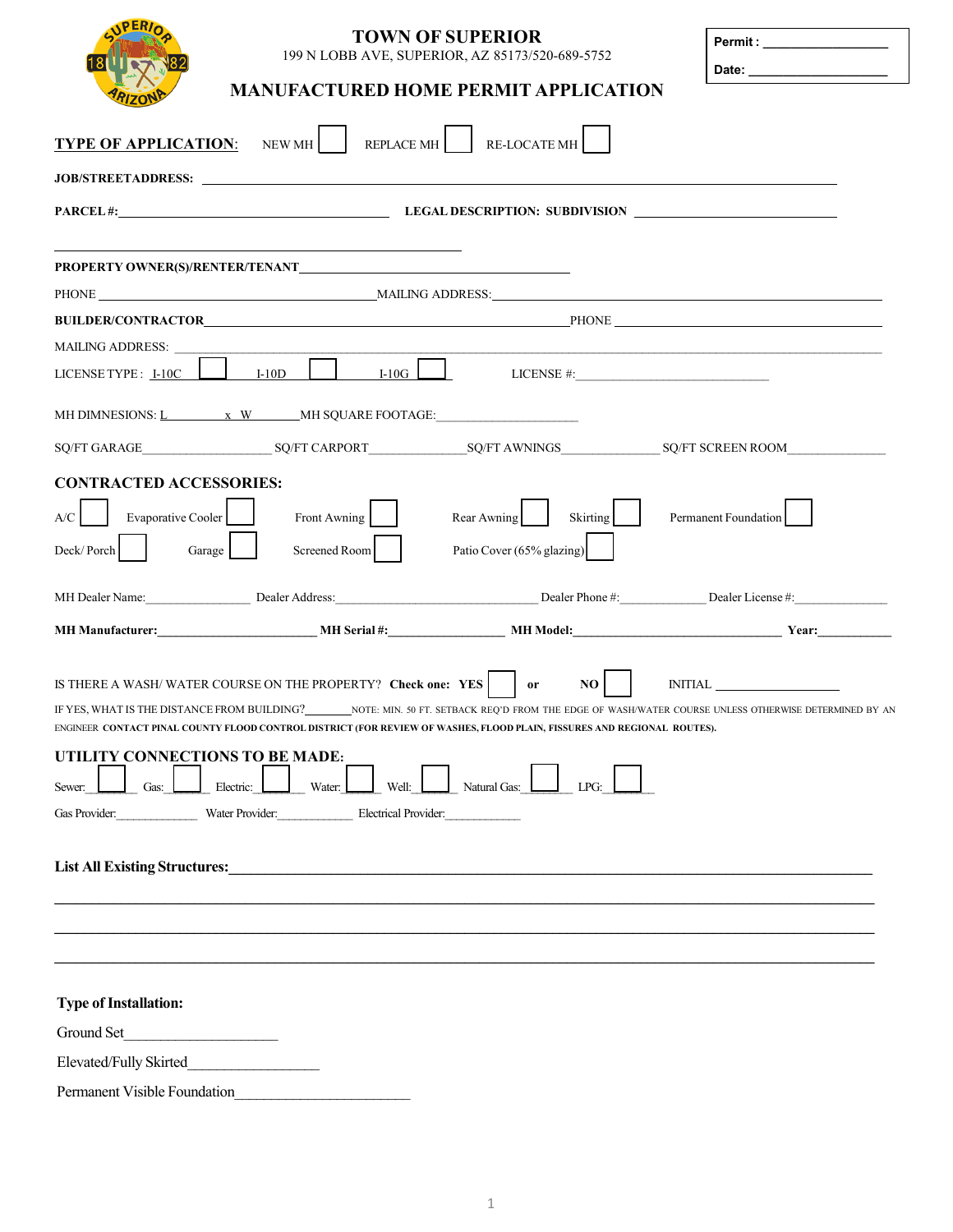|                                 |                                                                   | <b>TOWN OF SUPERIOR</b><br>199 N LOBB AVE, SUPERIOR, AZ 85173/520-689-5752                                              | Permit: _____________________                                                                                                                                                                                                  |
|---------------------------------|-------------------------------------------------------------------|-------------------------------------------------------------------------------------------------------------------------|--------------------------------------------------------------------------------------------------------------------------------------------------------------------------------------------------------------------------------|
|                                 |                                                                   |                                                                                                                         |                                                                                                                                                                                                                                |
|                                 |                                                                   | <b>MANUFACTURED HOME PERMIT APPLICATION</b>                                                                             |                                                                                                                                                                                                                                |
| <b>TYPE OF APPLICATION:</b>     | NEW MH REPLACE MH RE-LOCATE MH                                    |                                                                                                                         |                                                                                                                                                                                                                                |
|                                 |                                                                   |                                                                                                                         |                                                                                                                                                                                                                                |
|                                 |                                                                   |                                                                                                                         |                                                                                                                                                                                                                                |
|                                 |                                                                   |                                                                                                                         |                                                                                                                                                                                                                                |
|                                 |                                                                   |                                                                                                                         |                                                                                                                                                                                                                                |
|                                 |                                                                   |                                                                                                                         |                                                                                                                                                                                                                                |
|                                 |                                                                   |                                                                                                                         |                                                                                                                                                                                                                                |
| <b>MAILING ADDRESS:</b>         |                                                                   | the control of the control of the control of the control of the control of<br>$L10G$ LICENSE #:                         |                                                                                                                                                                                                                                |
| LICENSE TYPE: I-10C             | $I-10D$                                                           |                                                                                                                         |                                                                                                                                                                                                                                |
|                                 | MH DIMNESIONS: <u>L x W</u> MH SQUARE FOOTAGE:                    |                                                                                                                         |                                                                                                                                                                                                                                |
|                                 |                                                                   |                                                                                                                         |                                                                                                                                                                                                                                |
| <b>CONTRACTED ACCESSORIES:</b>  |                                                                   |                                                                                                                         |                                                                                                                                                                                                                                |
| A/C<br>Evaporative Cooler       | Front Awning                                                      | Rear Awning<br>Skirting                                                                                                 | Permanent Foundation                                                                                                                                                                                                           |
| Deck/Porch<br>Garage            | Screened Room                                                     | Patio Cover (65% glazing)                                                                                               |                                                                                                                                                                                                                                |
|                                 |                                                                   |                                                                                                                         |                                                                                                                                                                                                                                |
|                                 |                                                                   |                                                                                                                         | MH Dealer Name: Dealer Address: Dealer Address: Dealer Phone #: Dealer Phone #: Dealer License #:                                                                                                                              |
|                                 |                                                                   |                                                                                                                         | MH Manufacturer: Year: Year: Year: Year: NH Serial #: NH Model: NH Model: Year: Year: Year: Year: Year: Year: Year: Year: Year: NH Model: NH Model: NH Model: Next, Next, Next, Next, Next, Next, Next, Next, Next, Next, Next |
|                                 |                                                                   |                                                                                                                         |                                                                                                                                                                                                                                |
|                                 | IS THERE A WASH/WATER COURSE ON THE PROPERTY? Check one: YES   or | $NO$                                                                                                                    | <b>INITIAL</b>                                                                                                                                                                                                                 |
|                                 |                                                                   | ENGINEER CONTACT PINAL COUNTY FLOOD CONTROL DISTRICT (FOR REVIEW OF WASHES, FLOOD PLAIN, FISSURES AND REGIONAL ROUTES). | IF YES, WHAT IS THE DISTANCE FROM BUILDING? NOTE: MIN. 50 FT. SETBACK REQ'D FROM THE EDGE OF WASH/WATER COURSE UNLESS OTHERWISE DETERMINED BY AN                                                                               |
| UTILITY CONNECTIONS TO BE MADE: |                                                                   |                                                                                                                         |                                                                                                                                                                                                                                |
| Gas:<br>Sewer:                  | Electric: Water:<br>Well:                                         | Natural Gas:<br>LPG:                                                                                                    |                                                                                                                                                                                                                                |
|                                 | Gas Provider: Water Provider: Electrical Provider:                |                                                                                                                         |                                                                                                                                                                                                                                |
|                                 |                                                                   |                                                                                                                         |                                                                                                                                                                                                                                |
|                                 |                                                                   | List All Existing Structures: Manual Communication of the Structure of All Existing Structures:                         |                                                                                                                                                                                                                                |
|                                 |                                                                   |                                                                                                                         |                                                                                                                                                                                                                                |
|                                 |                                                                   |                                                                                                                         |                                                                                                                                                                                                                                |
|                                 |                                                                   |                                                                                                                         |                                                                                                                                                                                                                                |
|                                 |                                                                   |                                                                                                                         |                                                                                                                                                                                                                                |
| <b>Type of Installation:</b>    |                                                                   |                                                                                                                         |                                                                                                                                                                                                                                |
| Ground Set<br><u>.</u>          |                                                                   |                                                                                                                         |                                                                                                                                                                                                                                |
| Elevated/Fully Skirted          |                                                                   |                                                                                                                         |                                                                                                                                                                                                                                |
| Permanent Visible Foundation    |                                                                   |                                                                                                                         |                                                                                                                                                                                                                                |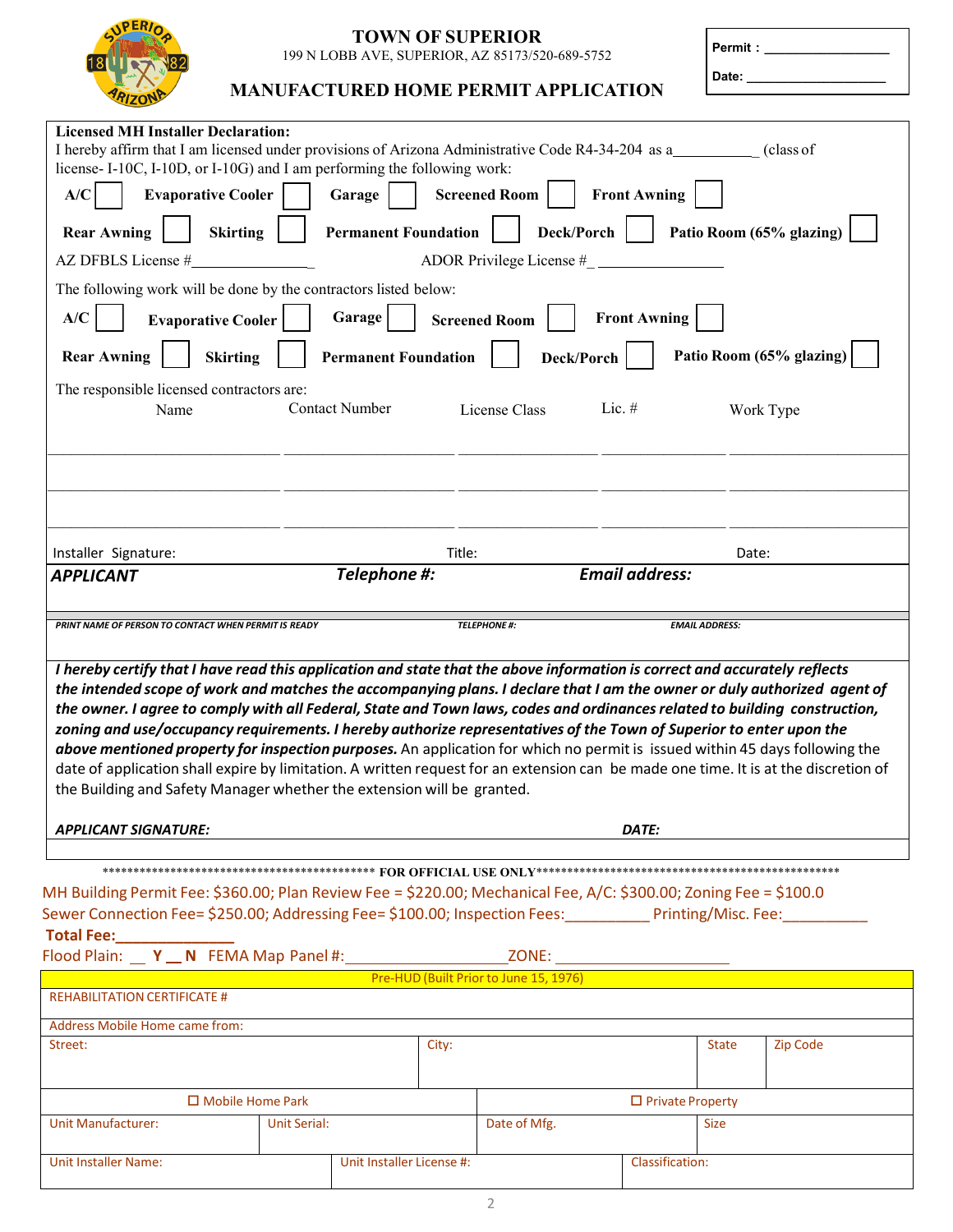

#### **TOWN OF SUPERIOR** 199 N LOBB AVE, SUPERIOR, AZ 85173/520-689-5752

| <b>Permit:</b> |  |
|----------------|--|
|                |  |

Date:

| <b>Licensed MH Installer Declaration:</b><br>I hereby affirm that I am licensed under provisions of Arizona Administrative Code R4-34-204 as a__________ (class of<br>license-I-10C, I-10D, or I-10G) and I am performing the following work:<br><b>Front Awning</b><br><b>Evaporative Cooler</b><br>Garage<br><b>Screened Room</b><br>A/C<br>Deck/Porch<br><b>Permanent Foundation</b><br>Patio Room (65% glazing)<br><b>Rear Awning</b><br><b>Skirting</b><br>ADOR Privilege License #<br>The following work will be done by the contractors listed below:                                                                                                                                                                                                                                                                                                                                                                                                                                               |                           |        |               |                       |                 |
|------------------------------------------------------------------------------------------------------------------------------------------------------------------------------------------------------------------------------------------------------------------------------------------------------------------------------------------------------------------------------------------------------------------------------------------------------------------------------------------------------------------------------------------------------------------------------------------------------------------------------------------------------------------------------------------------------------------------------------------------------------------------------------------------------------------------------------------------------------------------------------------------------------------------------------------------------------------------------------------------------------|---------------------------|--------|---------------|-----------------------|-----------------|
| A/C                                                                                                                                                                                                                                                                                                                                                                                                                                                                                                                                                                                                                                                                                                                                                                                                                                                                                                                                                                                                        | Garage                    |        |               | <b>Front Awning</b>   |                 |
| <b>Evaporative Cooler</b><br><b>Screened Room</b><br>Patio Room (65% glazing)<br><b>Rear Awning</b><br><b>Permanent Foundation</b><br>Deck/Porch<br><b>Skirting</b>                                                                                                                                                                                                                                                                                                                                                                                                                                                                                                                                                                                                                                                                                                                                                                                                                                        |                           |        |               |                       |                 |
| The responsible licensed contractors are:<br>Name                                                                                                                                                                                                                                                                                                                                                                                                                                                                                                                                                                                                                                                                                                                                                                                                                                                                                                                                                          | <b>Contact Number</b>     |        | License Class | Lic. $#$<br>Work Type |                 |
|                                                                                                                                                                                                                                                                                                                                                                                                                                                                                                                                                                                                                                                                                                                                                                                                                                                                                                                                                                                                            |                           |        |               |                       |                 |
| Installer Signature:                                                                                                                                                                                                                                                                                                                                                                                                                                                                                                                                                                                                                                                                                                                                                                                                                                                                                                                                                                                       |                           | Title: |               | Date:                 |                 |
| <b>APPLICANT</b>                                                                                                                                                                                                                                                                                                                                                                                                                                                                                                                                                                                                                                                                                                                                                                                                                                                                                                                                                                                           | Telephone #:              |        |               | <b>Email address:</b> |                 |
| PRINT NAME OF PERSON TO CONTACT WHEN PERMIT IS READY<br><b>TELEPHONE#:</b><br><b>EMAIL ADDRESS:</b><br>I hereby certify that I have read this application and state that the above information is correct and accurately reflects<br>the intended scope of work and matches the accompanying plans. I declare that I am the owner or duly authorized agent of<br>the owner. I agree to comply with all Federal, State and Town laws, codes and ordinances related to building construction,<br>zoning and use/occupancy requirements. I hereby authorize representatives of the Town of Superior to enter upon the<br>above mentioned property for inspection purposes. An application for which no permit is issued within 45 days following the<br>date of application shall expire by limitation. A written request for an extension can be made one time. It is at the discretion of<br>the Building and Safety Manager whether the extension will be granted.<br>DATE:<br><b>APPLICANT SIGNATURE:</b> |                           |        |               |                       |                 |
| MH Building Permit Fee: \$360.00; Plan Review Fee = \$220.00; Mechanical Fee, A/C: \$300.00; Zoning Fee = \$100.0<br>Sewer Connection Fee= \$250.00; Addressing Fee= \$100.00; Inspection Fees: ___________Printing/Misc. Fee: ______<br>Total Fee:<br>Pre-HUD (Built Prior to June 15, 1976)                                                                                                                                                                                                                                                                                                                                                                                                                                                                                                                                                                                                                                                                                                              |                           |        |               |                       |                 |
| <b>REHABILITATION CERTIFICATE #</b>                                                                                                                                                                                                                                                                                                                                                                                                                                                                                                                                                                                                                                                                                                                                                                                                                                                                                                                                                                        |                           |        |               |                       |                 |
| <b>Address Mobile Home came from:</b><br>Street:                                                                                                                                                                                                                                                                                                                                                                                                                                                                                                                                                                                                                                                                                                                                                                                                                                                                                                                                                           |                           | City:  |               | <b>State</b>          | <b>Zip Code</b> |
| $\Box$ Mobile Home Park<br>$\Box$ Private Property                                                                                                                                                                                                                                                                                                                                                                                                                                                                                                                                                                                                                                                                                                                                                                                                                                                                                                                                                         |                           |        |               |                       |                 |
| <b>Unit Manufacturer:</b>                                                                                                                                                                                                                                                                                                                                                                                                                                                                                                                                                                                                                                                                                                                                                                                                                                                                                                                                                                                  | Unit Serial:              |        | Date of Mfg.  | <b>Size</b>           |                 |
| <b>Unit Installer Name:</b>                                                                                                                                                                                                                                                                                                                                                                                                                                                                                                                                                                                                                                                                                                                                                                                                                                                                                                                                                                                | Unit Installer License #: |        |               | Classification:       |                 |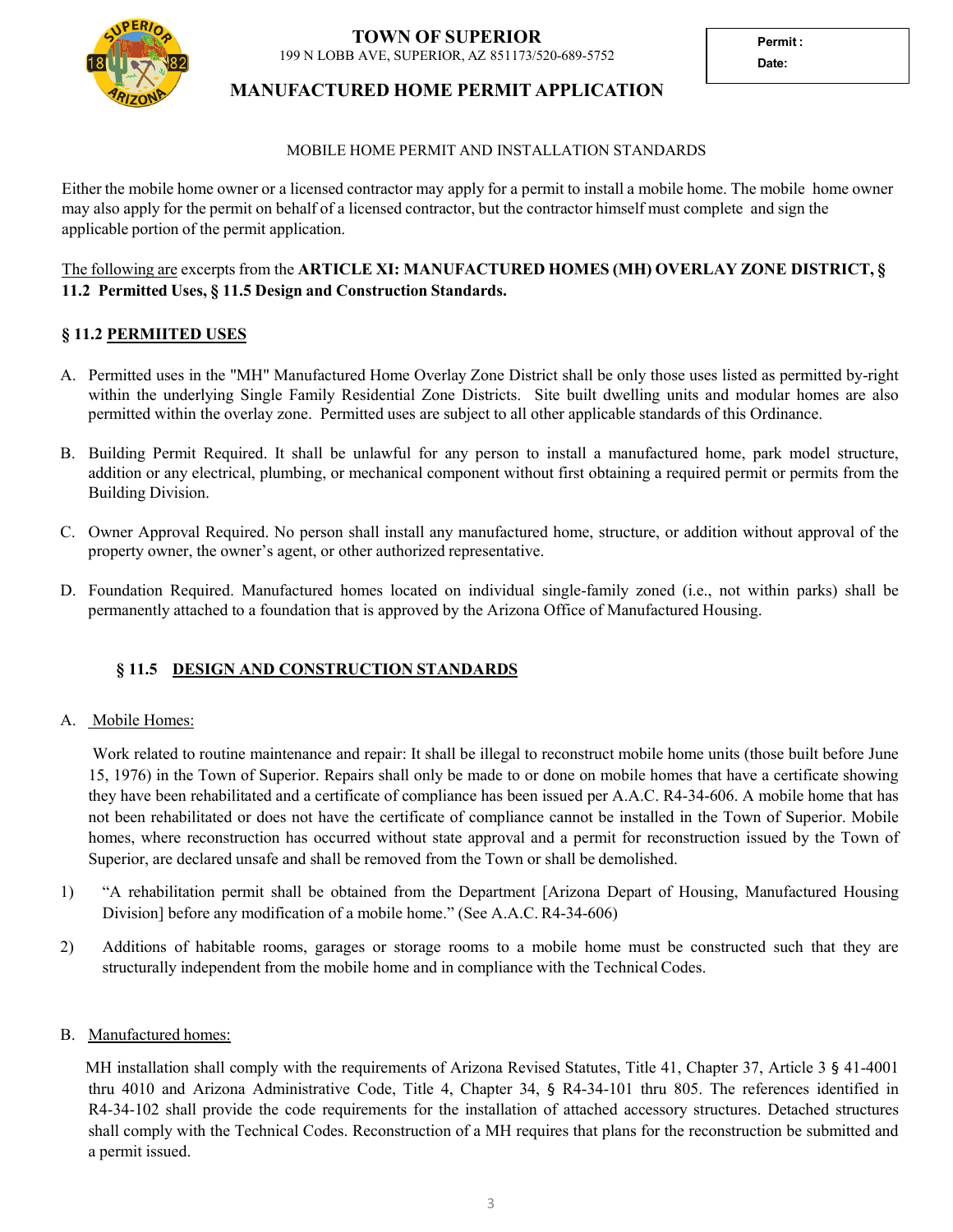

**Permit : Date:**



# **MANUFACTURED HOME PERMIT APPLICATION**

#### MOBILE HOME PERMIT AND INSTALLATION STANDARDS

Either the mobile home owner or a licensed contractor may apply for a permit to install a mobile home. The mobile home owner may also apply for the permit on behalf of a licensed contractor, but the contractor himself must complete and sign the applicable portion of the permit application.

## The following are excerpts from the **ARTICLE XI: MANUFACTURED HOMES (MH) OVERLAY ZONE DISTRICT, § 11.2 Permitted Uses, § 11.5 Design and Construction Standards.**

## **§ 11.2 PERMIITED USES**

- A. Permitted uses in the "MH" Manufactured Home Overlay Zone District shall be only those uses listed as permitted by-right within the underlying Single Family Residential Zone Districts. Site built dwelling units and modular homes are also permitted within the overlay zone. Permitted uses are subject to all other applicable standards of this Ordinance.
- B. Building Permit Required. It shall be unlawful for any person to install <sup>a</sup> manufactured home, park model structure, addition or any electrical, <sup>p</sup>lumbing, or mechanical componen<sup>t</sup> without first obtaining <sup>a</sup> required permit or permits from the Building Division.
- C. Owner Approval Required. No person shall install any manufactured home, structure, or addition without approva<sup>l</sup> of the property owner, the owner's agent, or other authorized representative.
- D. Foundation Required. Manufactured homes located on individual single-family zoned (i.e., not within parks) shall be permanently attached to <sup>a</sup> foundation that is approved by the Arizona Office of Manufactured Housing.

## **§ 11.5 DESIGN AND CONSTRUCTION STANDARDS**

#### A. Mobile Homes:

Work related to routine maintenance and repair: It shall be illegal to reconstruct mobile home units (those built before June 15, 1976) in the Town of Superior. Repairs shall only be made to or done on mobile homes that have <sup>a</sup> certificate showing they have been rehabilitated and <sup>a</sup> certificate of compliance has been issued per A.A.C. R4‐34‐606. <sup>A</sup> mobile home that has not been rehabilitated or does not have the certificate of compliance cannot be installed in the Town of Superior. Mobile homes, where reconstruction has occurred without state approva<sup>l</sup> and <sup>a</sup> permit for reconstruction issued by the Town of Superior, are declared unsafe and shall be removed from the Town or shall be demolished.

- 1) "A rehabilitation permit shall be obtained from the Department [Arizona Depart of Housing, Manufactured Housing Division] before any modification of <sup>a</sup> mobile home." (See A.A.C. R4‐34‐606)
- 2) Additions of habitable rooms, garages or storage rooms to <sup>a</sup> mobile home must be constructed such that they are structurally independent from the mobile home and in compliance with the Technical Codes.

## B. Manufactured homes:

MH installation shall comply with the requirements of Arizona Revised Statutes, Title 41, Chapter 37, Article 3 § 41-4001 thru <sup>4010</sup> and Arizona Administrative Code, Title 4, Chapter 34, § R4‐34‐101 thru 805. The references identified in R4-34-102 shall provide the code requirements for the installation of attached accessory structures. Detached structures shall comply with the Technical Codes. Reconstruction of a MH requires that plans for the reconstruction be submitted and <sup>a</sup> permit issued.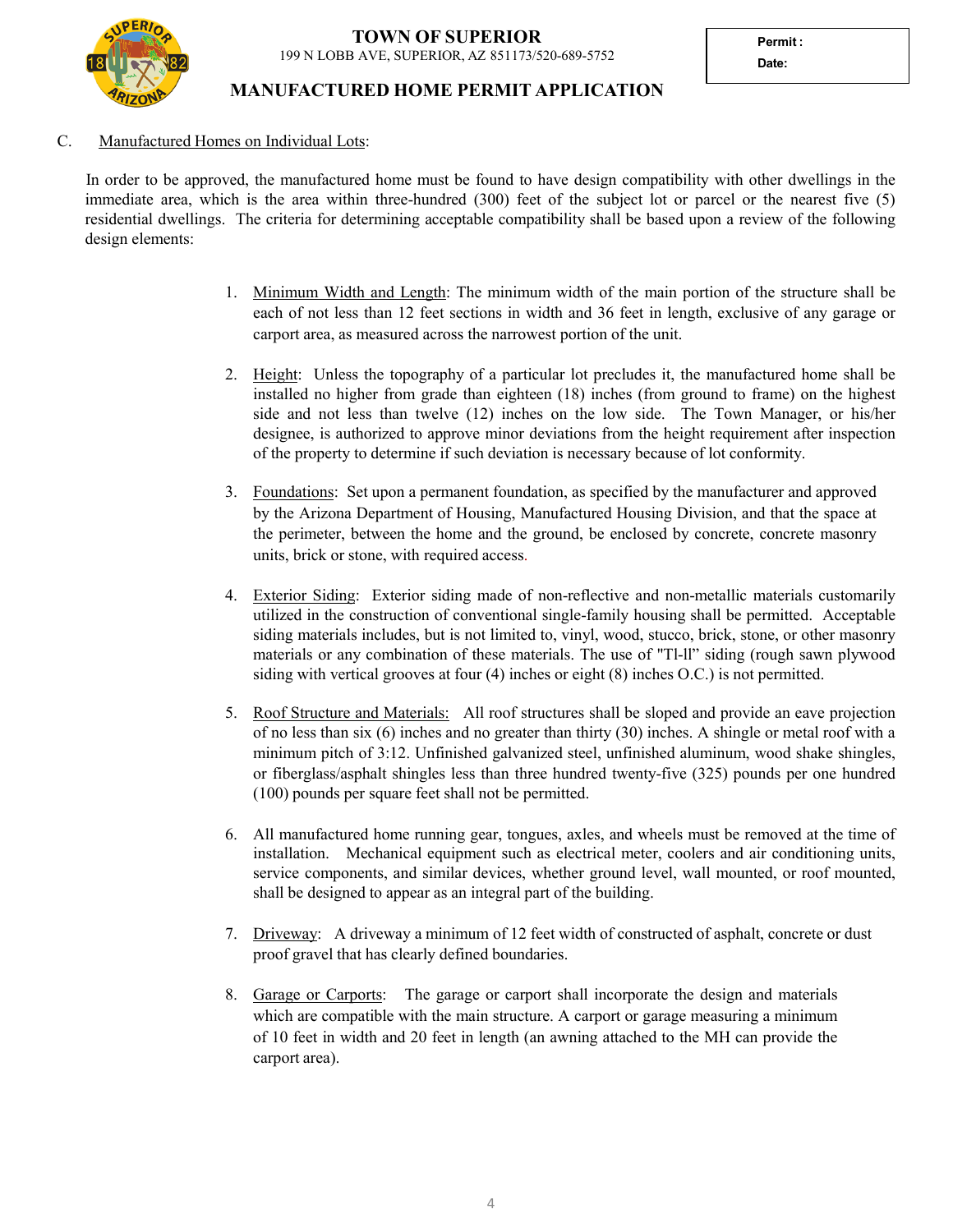

# **MANUFACTURED HOME PERMIT APPLICATION**

**Date:**

#### C. Manufactured Homes on Individual Lots:

In order to be approved, the manufactured home must be found to have design compatibility with other dwellings in the immediate area, which is the area within three-hundred (300) feet of the subject lot or parce<sup>l</sup> or the nearest five (5) residential dwellings. The criteria for determining acceptable compatibility shall be based upon a review of the following design elements:

- 1. Minimum Width and Length: The minimum width of the main portion of the structure shall be each of not less than <sup>12</sup> feet sections in width and <sup>36</sup> feet in length, exclusive of any garage or carpor<sup>t</sup> area, as measured across the narrowest portion of the unit.
- 2. Height: Unless the topography of a particular lot precludes it, the manufactured home shall be installed no higher from grade than eighteen (18) inches (from ground to frame) on the highest side and not less than twelve (12) inches on the low side. The Town Manager, or his/her designee, is authorized to approve minor deviations from the height requirement after inspection of the property to determine if such deviation is necessary because of lot conformity.
- 3. Foundations: Set upon a permanen<sup>t</sup> foundation, as specified by the manufacturer and approved by the Arizona Department of Housing, Manufactured Housing Division, and that the space at the perimeter, between the home and the ground, be enclosed by concrete, concrete masonry units, brick or stone, with required access.
- 4. Exterior Siding: Exterior siding made of non-reflective and non-metallic materials customarily utilized in the construction of conventional single-family housing shall be permitted. Acceptable siding materials includes, but is not limited to, vinyl, wood, stucco, brick, stone, or other masonry materials or any combination of these materials. The use of "Tl-ll" siding (rough sawn plywood siding with vertical grooves at four (4) inches or eight (8) inches O.C.) is not permitted.
- 5. Roof Structure and Materials: All roof structures shall be sloped and provide an eave projection of no less than six (6) inches and no greater than thirty (30) inches. <sup>A</sup> shingle or metal roof with <sup>a</sup> minimum <sup>p</sup>itch of 3:12. Unfinished galvanized steel, unfinished aluminum, wood shake shingles, or fiberglass/asphalt shingles less than three hundred twenty-five (325) pounds per one hundred (100) pounds per square feet shall not be permitted.
- 6. All manufactured home running gear, tongues, axles, and wheels must be removed at the time of installation. Mechanical equipment such as electrical meter, coolers and air conditioning units, service components, and similar devices, whether ground level, wall mounted, or roof mounted, shall be designed to appear as an integral par<sup>t</sup> of the building.
- 7. Driveway: A driveway <sup>a</sup> minimum of <sup>12</sup> feet width of constructed of asphalt, concrete or dust proo<sup>f</sup> grave<sup>l</sup> that has clearly defined boundaries.
- 8. Garage or Carports: The garage or carpor<sup>t</sup> shall incorporate the design and materials which are compatible with the main structure. <sup>A</sup> carpor<sup>t</sup> or garage measuring a minimum of <sup>10</sup> feet in width and <sup>20</sup> feet in length (an awning attached to the MH can provide the carpor<sup>t</sup> area).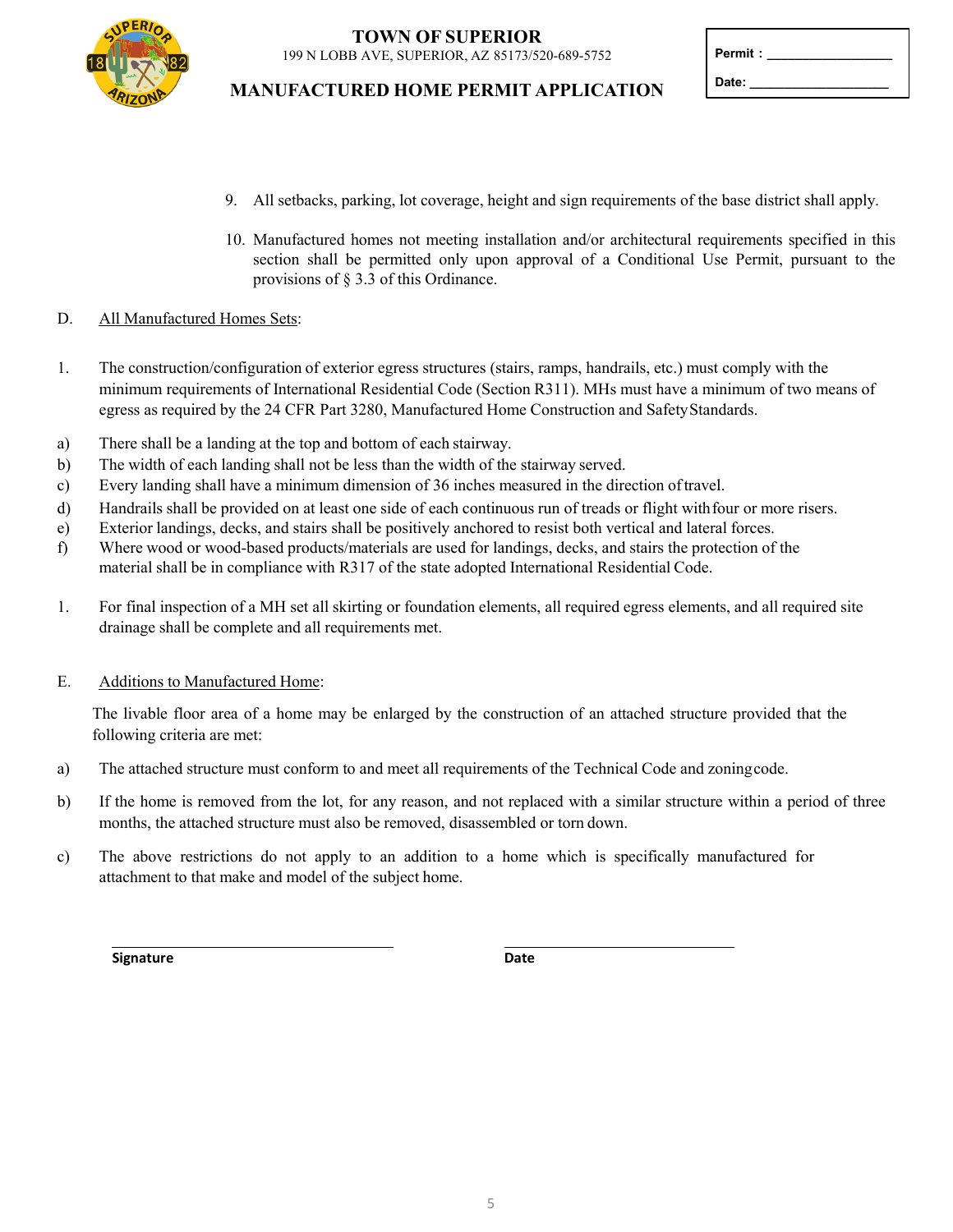

**TOWN OF SUPERIOR** 199 N LOBB AVE, SUPERIOR, AZ 85173/520-689-5752

## **MANUFACTURED HOME PERMIT APPLICATION**

| Permit: |  |
|---------|--|
| Date:   |  |

- 9. All setbacks, parking, lot coverage, height and sign requirements of the base district shall apply.
- 10. Manufactured homes not meeting installation and/or architectural requirements specified in this section shall be permitted only upon approva<sup>l</sup> of <sup>a</sup> Conditional Use Permit, pursuan<sup>t</sup> to the provisions of § 3.3 of this Ordinance.

#### D. All Manufactured Homes Sets:

- 1. The construction/configuration of exterior egress structures (stairs, ramps, handrails, etc.) must comply with the minimum requirements of International Residential Code (Section R311). MHs must have a minimum of two means of egress as required by the 24 CFR Part 3280, Manufactured Home Construction and SafetyStandards.
- a) There shall be a landing at the top and bottom of each stairway.
- b) The width of each landing shall not be less than the width of the stairway served.
- c) Every landing shall have a minimum dimension of 36 inches measured in the direction of travel.
- d) Handrails shall be provided on at least one side of each continuous run of treads or flight withfour or more risers.
- e) Exterior landings, decks, and stairs shall be positively anchored to resist both vertical and lateral forces.
- f) Where wood or wood‐based products/materials are used for landings, decks, and stairs the protection of the material shall be in compliance with R317 of the state adopted International Residential Code.
- 1. For final inspection of a MH set all skirting or foundation elements, all required egress elements, and all required site drainage shall be complete and all requirements met.

#### E. Additions to Manufactured Home:

The livable floor area of <sup>a</sup> home may be enlarged by the construction of an attached structure provided that the following criteria are met:

- a) The attached structure must conform to and meet all requirements of the Technical Code and zoningcode.
- b) If the home is removed from the lot, for any reason, and not replaced with <sup>a</sup> similar structure within <sup>a</sup> period of three months, the attached structure must also be removed, disassembled or torn down.
- c) The above restrictions do not apply to an addition to <sup>a</sup> home which is specifically manufactured for attachment to that make and model of the subject home.

**Signature Date**